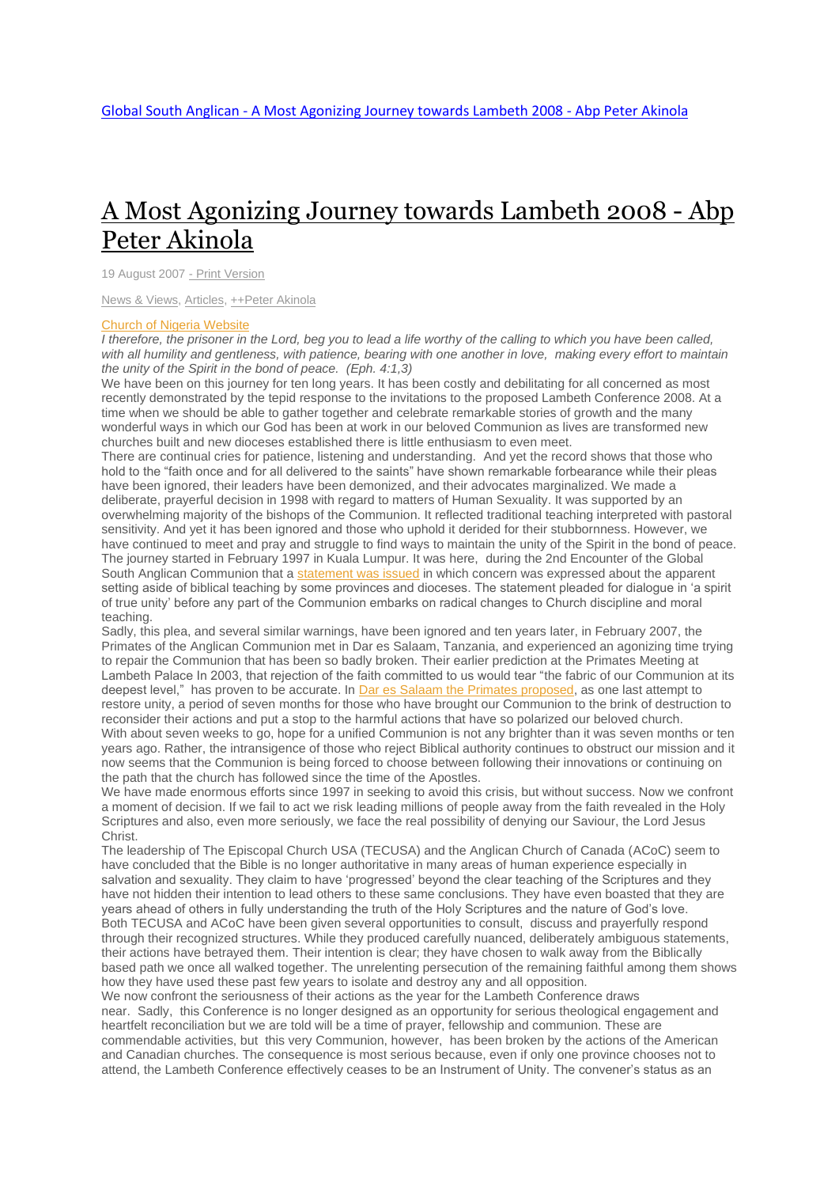## A Most [Agonizing](http://www.globalsouthanglican.org/index.php/blog/comments/a_most_agonizing_journey_towards_lambeth_2008_abp_peter_akinola) Journey towards Lambeth 2008 - Abp Peter [Akinola](http://www.globalsouthanglican.org/index.php/blog/comments/a_most_agonizing_journey_towards_lambeth_2008_abp_peter_akinola)

19 August 2007 - Print [Version](http://globalsouthanglican.org/index.php/blog/printing/a_most_agonizing_journey_towards_lambeth_2008_abp_peter_akinola)

News & [Views,](http://globalsouthanglican.org/index.php/archives/category/news_views) [Articles,](http://globalsouthanglican.org/index.php/archives/category/articles) [++Peter](http://globalsouthanglican.org/index.php/archives/category/peter_akinola) Akinola

## Church of Nigeria [Website](http://www.anglican-nig.org/main.php?k_j=12&d=88&p_t=index.php?)

I therefore, the prisoner in the Lord, beg you to lead a life worthy of the calling to which you have been called, with all humility and gentleness, with patience, bearing with one another in love, making every effort to maintain *the unity of the Spirit in the bond of peace. (Eph. 4:1,3)*

We have been on this journey for ten long years. It has been costly and debilitating for all concerned as most recently demonstrated by the tepid response to the invitations to the proposed Lambeth Conference 2008. At a time when we should be able to gather together and celebrate remarkable stories of growth and the many wonderful ways in which our God has been at work in our beloved Communion as lives are transformed new churches built and new dioceses established there is little enthusiasm to even meet.

There are continual cries for patience, listening and understanding. And yet the record shows that those who hold to the "faith once and for all delivered to the saints" have shown remarkable forbearance while their pleas have been ignored, their leaders have been demonized, and their advocates marginalized. We made a deliberate, prayerful decision in 1998 with regard to matters of Human Sexuality. It was supported by an overwhelming majority of the bishops of the Communion. It reflected traditional teaching interpreted with pastoral sensitivity. And yet it has been ignored and those who uphold it derided for their stubbornness. However, we have continued to meet and pray and struggle to find ways to maintain the unity of the Spirit in the bond of peace. The journey started in February 1997 in Kuala Lumpur. It was here, during the 2nd Encounter of the Global South Anglican Communion that a [statement](http://www.globalsouthanglican.org/index.php/comments/the_kuala_lumpur_statement_on_human_sexuality_2nd_encounter_in_the_south_10/) was issued in which concern was expressed about the apparent setting aside of biblical teaching by some provinces and dioceses. The statement pleaded for dialogue in 'a spirit of true unity' before any part of the Communion embarks on radical changes to Church discipline and moral teaching.

Sadly, this plea, and several similar warnings, have been ignored and ten years later, in February 2007, the Primates of the Anglican Communion met in Dar es Salaam, Tanzania, and experienced an agonizing time trying to repair the Communion that has been so badly broken. Their earlier prediction at the Primates Meeting at Lambeth Palace In 2003, that rejection of the faith committed to us would tear "the fabric of our Communion at its deepest level," has proven to be accurate. In Dar es Salaam the Primates [proposed,](http://www.anglicancommunion.org/acns/articles/42/50/acns4253.cfm) as one last attempt to restore unity, a period of seven months for those who have brought our Communion to the brink of destruction to reconsider their actions and put a stop to the harmful actions that have so polarized our beloved church. With about seven weeks to go, hope for a unified Communion is not any brighter than it was seven months or ten years ago. Rather, the intransigence of those who reject Biblical authority continues to obstruct our mission and it now seems that the Communion is being forced to choose between following their innovations or continuing on the path that the church has followed since the time of the Apostles.

We have made enormous efforts since 1997 in seeking to avoid this crisis, but without success. Now we confront a moment of decision. If we fail to act we risk leading millions of people away from the faith revealed in the Holy Scriptures and also, even more seriously, we face the real possibility of denying our Saviour, the Lord Jesus Christ.

The leadership of The Episcopal Church USA (TECUSA) and the Anglican Church of Canada (ACoC) seem to have concluded that the Bible is no longer authoritative in many areas of human experience especially in salvation and sexuality. They claim to have 'progressed' beyond the clear teaching of the Scriptures and they have not hidden their intention to lead others to these same conclusions. They have even boasted that they are years ahead of others in fully understanding the truth of the Holy Scriptures and the nature of God's love. Both TECUSA and ACoC have been given several opportunities to consult, discuss and prayerfully respond through their recognized structures. While they produced carefully nuanced, deliberately ambiguous statements, their actions have betrayed them. Their intention is clear; they have chosen to walk away from the Biblically based path we once all walked together. The unrelenting persecution of the remaining faithful among them shows how they have used these past few years to isolate and destroy any and all opposition.

We now confront the seriousness of their actions as the year for the Lambeth Conference draws near. Sadly, this Conference is no longer designed as an opportunity for serious theological engagement and heartfelt reconciliation but we are told will be a time of prayer, fellowship and communion. These are commendable activities, but this very Communion, however, has been broken by the actions of the American and Canadian churches. The consequence is most serious because, even if only one province chooses not to attend, the Lambeth Conference effectively ceases to be an Instrument of Unity. The convener's status as an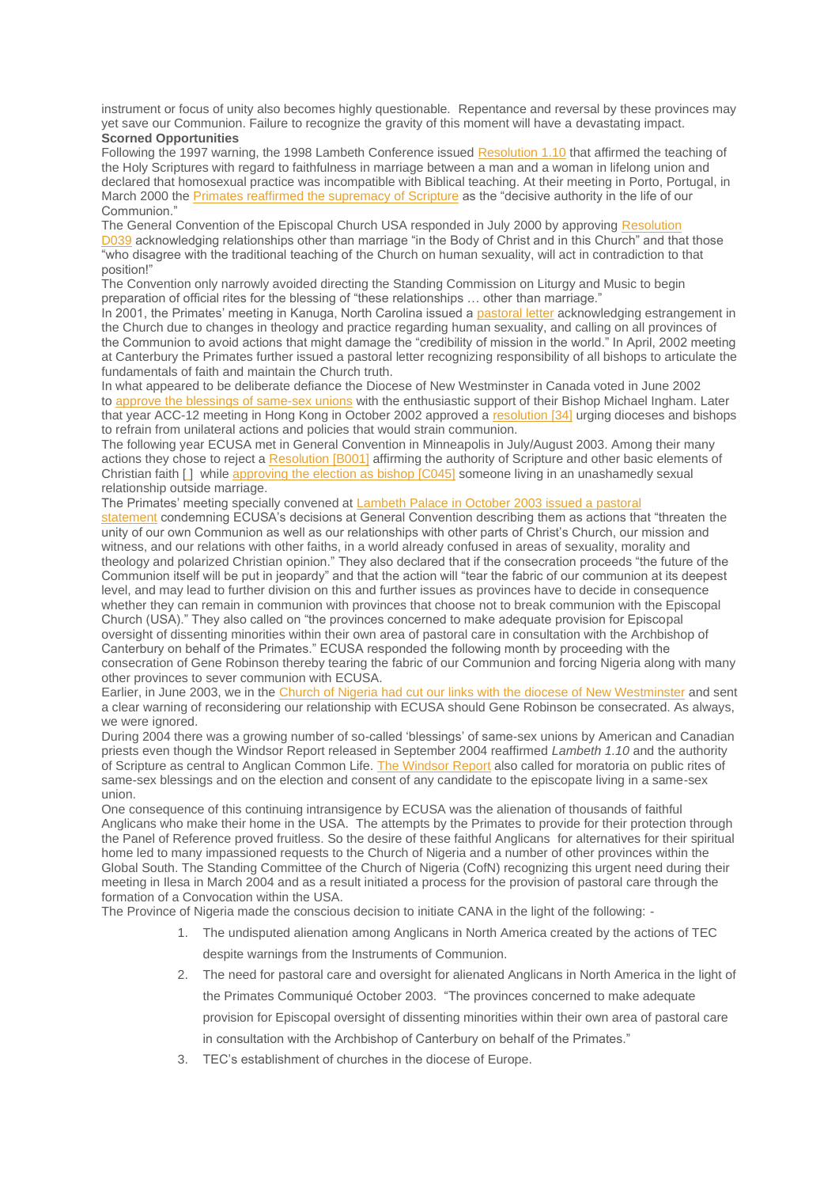instrument or focus of unity also becomes highly questionable. Repentance and reversal by these provinces may yet save our Communion. Failure to recognize the gravity of this moment will have a devastating impact. **Scorned Opportunities**

Following the 1997 warning, the 1998 Lambeth Conference issued [Resolution](http://www.anglicancommunion.org/windsor2004/appendix/p3.6.cfm) 1.10 that affirmed the teaching of the Holy Scriptures with regard to faithfulness in marriage between a man and a woman in lifelong union and declared that homosexual practice was incompatible with Biblical teaching. At their meeting in Porto, Portugal, in March 2000 the Primates reaffirmed the [supremacy](http://www.anglicancommunion.org/acns/acnsarchive/acns2075/acns2094.html) of Scripture as the "decisive authority in the life of our Communion."

The General Convention of the Episcopal Church USA responded in July 2000 by approving [Resolution](http://www.episcopalarchives.org/cgi-bin/acts_new/acts_resolution.pl?resolution=2000-D039) [D039](http://www.episcopalarchives.org/cgi-bin/acts_new/acts_resolution.pl?resolution=2000-D039) acknowledging relationships other than marriage "in the Body of Christ and in this Church" and that those "who disagree with the traditional teaching of the Church on human sexuality, will act in contradiction to that position!"

The Convention only narrowly avoided directing the Standing Commission on Liturgy and Music to begin preparation of official rites for the blessing of "these relationships … other than marriage."

In 2001, the Primates' meeting in Kanuga, North Carolina issued a [pastoral](http://www.anglicancommunion.org/acns/acnsarchive/acns2400/acns2410.html) letter acknowledging estrangement in the Church due to changes in theology and practice regarding human sexuality, and calling on all provinces of the Communion to avoid actions that might damage the "credibility of mission in the world." In April, 2002 meeting at Canterbury the Primates further issued a pastoral letter recognizing responsibility of all bishops to articulate the fundamentals of faith and maintain the Church truth.

In what appeared to be deliberate defiance the Diocese of New Westminster in Canada voted in June 2002 to approve the blessings of [same-sex](http://www.samesexblessing.info/cnurse/DotNetNuke/Default.aspx?tabid=75) unions with the enthusiastic support of their Bishop Michael Ingham. Later that year ACC-12 meeting in Hong Kong in October 2002 approved a [resolution](http://www.anglicancommunion.org/acc/meetings/acc12/resolutions.cfm) [34] urging dioceses and bishops to refrain from unilateral actions and policies that would strain communion.

The following year ECUSA met in General Convention in Minneapolis in July/August 2003. Among their many actions they chose to reject a [Resolution](http://www.episcopalarchives.org/cgi-bin/acts/acts_resolution-complete.pl?resolution=2003-C045) [B001] affirming the authority of Scripture and other basic elements of Christian faith [ [\]](http://www.globalsouthanglican.org/blog/comments/a_most_agonizing_journey_towards_lambeth_2008_abp_peter_akinola#_edn1) while [approving](http://www.episcopalarchives.org/cgi-bin/acts/acts_resolution-complete.pl?resolution=2003-C045) the election as bishop [C045] someone living in an unashamedly sexual relationship outside marriage.

The Primates' meeting specially convened at [Lambeth](http://www.anglicancommunion.org/acns/articles/36/25/acns3633.html) Palace in October 2003 issued a pastoral

[statement](http://www.anglicancommunion.org/acns/articles/36/25/acns3633.html) condemning ECUSA's decisions at General Convention describing them as actions that "threaten the unity of our own Communion as well as our relationships with other parts of Christ's Church, our mission and witness, and our relations with other faiths, in a world already confused in areas of sexuality, morality and theology and polarized Christian opinion." They also declared that if the consecration proceeds "the future of the Communion itself will be put in jeopardy" and that the action will "tear the fabric of our communion at its deepest level, and may lead to further division on this and further issues as provinces have to decide in consequence whether they can remain in communion with provinces that choose not to break communion with the Episcopal Church (USA)." They also called on "the provinces concerned to make adequate provision for Episcopal oversight of dissenting minorities within their own area of pastoral care in consultation with the Archbishop of Canterbury on behalf of the Primates." ECUSA responded the following month by proceeding with the consecration of Gene Robinson thereby tearing the fabric of our Communion and forcing Nigeria along with many other provinces to sever communion with ECUSA.

Earlier, in June 2003, we in the Church of Nigeria had cut our links with the diocese of New [Westminster](http://www.anglicancommunion.org/acns/articles/34/50/acns3455.html) and sent a clear warning of reconsidering our relationship with ECUSA should Gene Robinson be consecrated. As always, we were ignored.

During 2004 there was a growing number of so-called 'blessings' of same-sex unions by American and Canadian priests even though the Windsor Report released in September 2004 reaffirmed *Lambeth 1.10* and the authority of Scripture as central to Anglican Common Life. The [Windsor](http://www.anglican.org.nz/Resources/windsor2004full.pdf) Report also called for moratoria on public rites of same-sex blessings and on the election and consent of any candidate to the episcopate living in a same-sex union.

One consequence of this continuing intransigence by ECUSA was the alienation of thousands of faithful Anglicans who make their home in the USA. The attempts by the Primates to provide for their protection through the Panel of Reference proved fruitless. So the desire of these faithful Anglicans for alternatives for their spiritual home led to many impassioned requests to the Church of Nigeria and a number of other provinces within the Global South. The Standing Committee of the Church of Nigeria (CofN) recognizing this urgent need during their meeting in Ilesa in March 2004 and as a result initiated a process for the provision of pastoral care through the formation of a Convocation within the USA.

The Province of Nigeria made the conscious decision to initiate CANA in the light of the following: -

- 1. The undisputed alienation among Anglicans in North America created by the actions of TEC despite warnings from the Instruments of Communion.
- 2. The need for pastoral care and oversight for alienated Anglicans in North America in the light of the Primates Communiqué October 2003. "The provinces concerned to make adequate provision for Episcopal oversight of dissenting minorities within their own area of pastoral care in consultation with the Archbishop of Canterbury on behalf of the Primates."
- 3. TEC's establishment of churches in the diocese of Europe.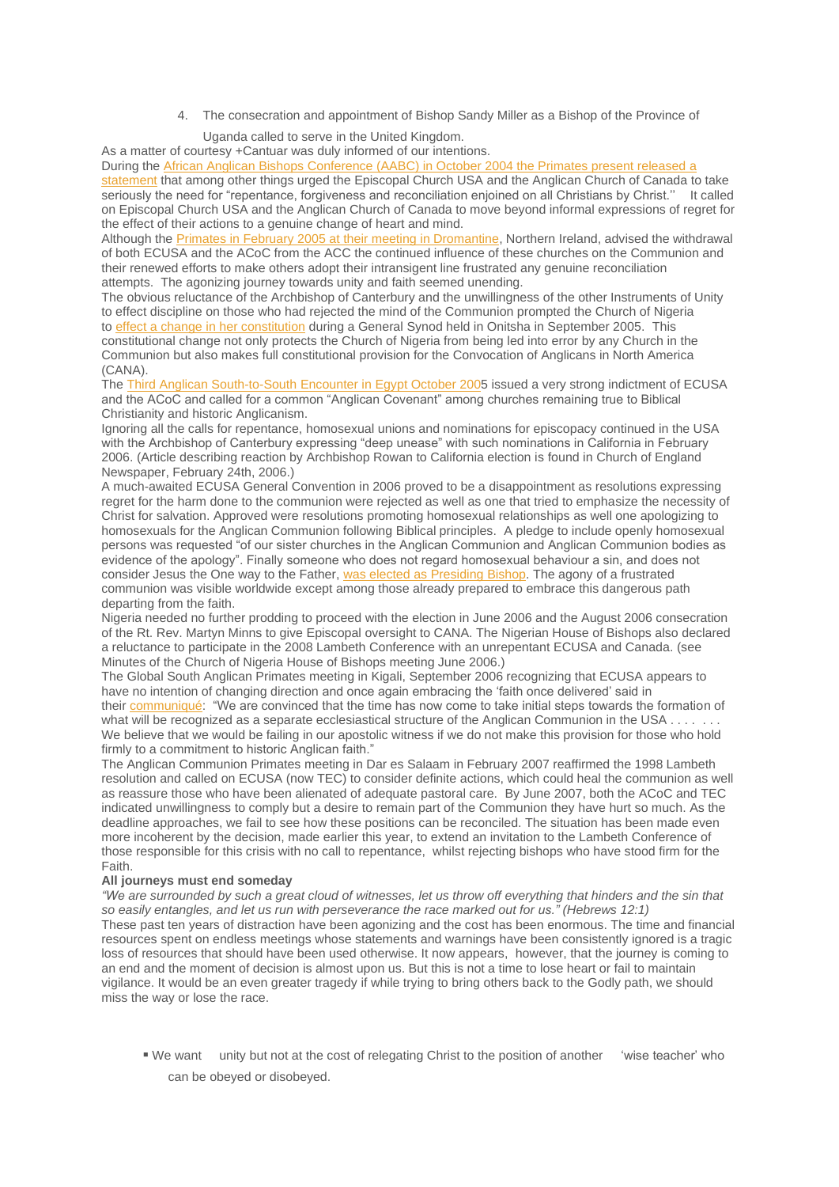- 4. The consecration and appointment of Bishop Sandy Miller as a Bishop of the Province of
	- Uganda called to serve in the United Kingdom.

As a matter of courtesy +Cantuar was duly informed of our intentions.

During the African Anglican Bishops [Conference](http://www.anglicancommunion.org/acns/articles/39/00/acns3906.cfm) (AABC) in October 2004 the Primates present released a [statement](http://www.anglicancommunion.org/acns/articles/39/00/acns3906.cfm) that among other things urged the Episcopal Church USA and the Anglican Church of Canada to take seriously the need for "repentance, forgiveness and reconciliation enioined on all Christians by Christ." It called on Episcopal Church USA and the Anglican Church of Canada to move beyond informal expressions of regret for the effect of their actions to a genuine change of heart and mind.

Although the Primates in February 2005 at their meeting in [Dromantine,](http://www.anglicancommunion.org/acns/articles/39/00/acns3948.cfm) Northern Ireland, advised the withdrawal of both ECUSA and the ACoC from the ACC the continued influence of these churches on the Communion and their renewed efforts to make others adopt their intransigent line frustrated any genuine reconciliation attempts. The agonizing journey towards unity and faith seemed unending.

The obvious reluctance of the Archbishop of Canterbury and the unwillingness of the other Instruments of Unity to effect discipline on those who had rejected the mind of the Communion prompted the Church of Nigeria to effect a change in her [constitution](http://www.anglican-nig.org/Onitsha2005_pressls2.htm) during a General Synod held in Onitsha in September 2005. This constitutional change not only protects the Church of Nigeria from being led into error by any Church in the Communion but also makes full constitutional provision for the Convocation of Anglicans in North America (CANA).

The Third Anglican [South-to-South](http://www.globalsouthanglican.org/index.php/comments/third_trumpet_communique_from_3rd_south_to_south_encounter/) Encounter in Egypt October 2005 issued a very strong indictment of ECUSA and the ACoC and called for a common "Anglican Covenant" among churches remaining true to Biblical Christianity and historic Anglicanism.

Ignoring all the calls for repentance, homosexual unions and nominations for episcopacy continued in the USA with the Archbishop of Canterbury expressing "deep unease" with such nominations in California in February 2006. (Article describing reaction by Archbishop Rowan to California election is found in Church of England Newspaper, February 24th, 2006.)

A much-awaited ECUSA General Convention in 2006 proved to be a disappointment as resolutions expressing regret for the harm done to the communion were rejected as well as one that tried to emphasize the necessity of Christ for salvation. Approved were resolutions promoting homosexual relationships as well one apologizing to homosexuals for the Anglican Communion following Biblical principles. A pledge to include openly homosexual persons was requested "of our sister churches in the Anglican Communion and Anglican Communion bodies as evidence of the apology". Finally someone who does not regard homosexual behaviour a sin, and does not consider Jesus the One way to the Father, was elected as [Presiding](http://www.episcopalchurch.org/75383_76174_ENG_HTM.htm) Bishop. The agony of a frustrated communion was visible worldwide except among those already prepared to embrace this dangerous path departing from the faith.

Nigeria needed no further prodding to proceed with the election in June 2006 and the August 2006 consecration of the Rt. Rev. Martyn Minns to give Episcopal oversight to CANA. The Nigerian House of Bishops also declared a reluctance to participate in the 2008 Lambeth Conference with an unrepentant ECUSA and Canada. (see Minutes of the Church of Nigeria House of Bishops meeting June 2006.)

The Global South Anglican Primates meeting in Kigali, September 2006 recognizing that ECUSA appears to have no intention of changing direction and once again embracing the 'faith once delivered' said in their [communiqué:](http://www.globalsouthanglican.org/index.php/comments/kigali_communique/) "We are convinced that the time has now come to take initial steps towards the formation of what will be recognized as a separate ecclesiastical structure of the Anglican Communion in the USA  $\dots$ We believe that we would be failing in our apostolic witness if we do not make this provision for those who hold firmly to a commitment to historic Anglican faith."

The Anglican Communion Primates meeting in Dar es Salaam in February 2007 reaffirmed the 1998 Lambeth resolution and called on ECUSA (now TEC) to consider definite actions, which could heal the communion as well as reassure those who have been alienated of adequate pastoral care. By June 2007, both the ACoC and TEC indicated unwillingness to comply but a desire to remain part of the Communion they have hurt so much. As the deadline approaches, we fail to see how these positions can be reconciled. The situation has been made even more incoherent by the decision, made earlier this year, to extend an invitation to the Lambeth Conference of those responsible for this crisis with no call to repentance, whilst rejecting bishops who have stood firm for the Faith.

## **All journeys must end someday**

"We are surrounded by such a great cloud of witnesses, let us throw off everything that hinders and the sin that *so easily entangles, and let us run with perseverance the race marked out for us." (Hebrews 12:1)* These past ten years of distraction have been agonizing and the cost has been enormous. The time and financial resources spent on endless meetings whose statements and warnings have been consistently ignored is a tragic loss of resources that should have been used otherwise. It now appears, however, that the journey is coming to an end and the moment of decision is almost upon us. But this is not a time to lose heart or fail to maintain vigilance. It would be an even greater tragedy if while trying to bring others back to the Godly path, we should miss the way or lose the race.

▪ We want unity but not at the cost of relegating Christ to the position of another 'wise teacher' who can be obeyed or disobeyed.